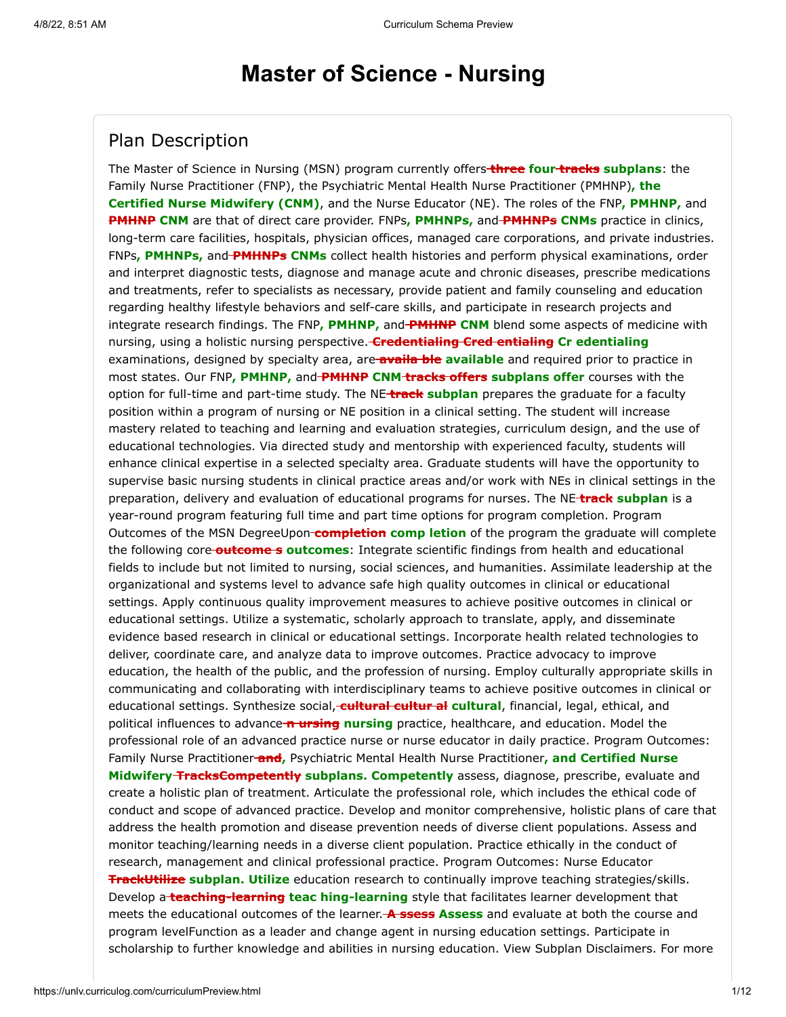# **Master of Science - Nursing**

### Plan Description

The Master of Science in Nursing (MSN) program currently offers **three four tracks subplans**: the Family Nurse Practitioner (FNP), the Psychiatric Mental Health Nurse Practitioner (PMHNP)**, the Certified Nurse Midwifery (CNM)**, and the Nurse Educator (NE). The roles of the FNP**, PMHNP,** and **PMHNP CNM** are that of direct care provider. FNPs, PMHNPs, and PMHNPs CNMs practice in clinics, long-term care facilities, hospitals, physician offices, managed care corporations, and private industries. FNPs**, PMHNPs,** and **PMHNPs CNMs** collect health histories and perform physical examinations, order and interpret diagnostic tests, diagnose and manage acute and chronic diseases, prescribe medications and treatments, refer to specialists as necessary, provide patient and family counseling and education regarding healthy lifestyle behaviors and self-care skills, and participate in research projects and integrate research findings. The FNP, PMHNP, and-PMHNP CNM blend some aspects of medicine with nursing, using a holistic nursing perspective. **Credentialing Cred entialing Cr edentialing** examinations, designed by specialty area, are **availa ble available** and required prior to practice in most states. Our FNP**, PMHNP,** and **PMHNP CNM tracks offers subplans offer** courses with the option for full-time and part-time study. The NE **track subplan** prepares the graduate for a faculty position within a program of nursing or NE position in a clinical setting. The student will increase mastery related to teaching and learning and evaluation strategies, curriculum design, and the use of educational technologies. Via directed study and mentorship with experienced faculty, students will enhance clinical expertise in a selected specialty area. Graduate students will have the opportunity to supervise basic nursing students in clinical practice areas and/or work with NEs in clinical settings in the preparation, delivery and evaluation of educational programs for nurses. The NE **track subplan** is a year-round program featuring full time and part time options for program completion. Program Outcomes of the MSN DegreeUpon **completion comp letion** of the program the graduate will complete the following core **outcome s outcomes**: Integrate scientific findings from health and educational fields to include but not limited to nursing, social sciences, and humanities. Assimilate leadership at the organizational and systems level to advance safe high quality outcomes in clinical or educational settings. Apply continuous quality improvement measures to achieve positive outcomes in clinical or educational settings. Utilize a systematic, scholarly approach to translate, apply, and disseminate evidence based research in clinical or educational settings. Incorporate health related technologies to deliver, coordinate care, and analyze data to improve outcomes. Practice advocacy to improve education, the health of the public, and the profession of nursing. Employ culturally appropriate skills in communicating and collaborating with interdisciplinary teams to achieve positive outcomes in clinical or educational settings. Synthesize social, **cultural cultur al cultural**, financial, legal, ethical, and political influences to advance **n ursing nursing** practice, healthcare, and education. Model the professional role of an advanced practice nurse or nurse educator in daily practice. Program Outcomes: Family Nurse Practitioner **and,** Psychiatric Mental Health Nurse Practitioner**, and Certified Nurse Midwifery TracksCompetently subplans. Competently** assess, diagnose, prescribe, evaluate and create a holistic plan of treatment. Articulate the professional role, which includes the ethical code of conduct and scope of advanced practice. Develop and monitor comprehensive, holistic plans of care that address the health promotion and disease prevention needs of diverse client populations. Assess and monitor teaching/learning needs in a diverse client population. Practice ethically in the conduct of research, management and clinical professional practice. Program Outcomes: Nurse Educator **TrackUtilize subplan. Utilize** education research to continually improve teaching strategies/skills. Develop a **teaching-learning teac hing-learning** style that facilitates learner development that meets the educational outcomes of the learner. **A ssess Assess** and evaluate at both the course and program levelFunction as a leader and change agent in nursing education settings. Participate in scholarship to further knowledge and abilities in nursing education. View Subplan Disclaimers. For more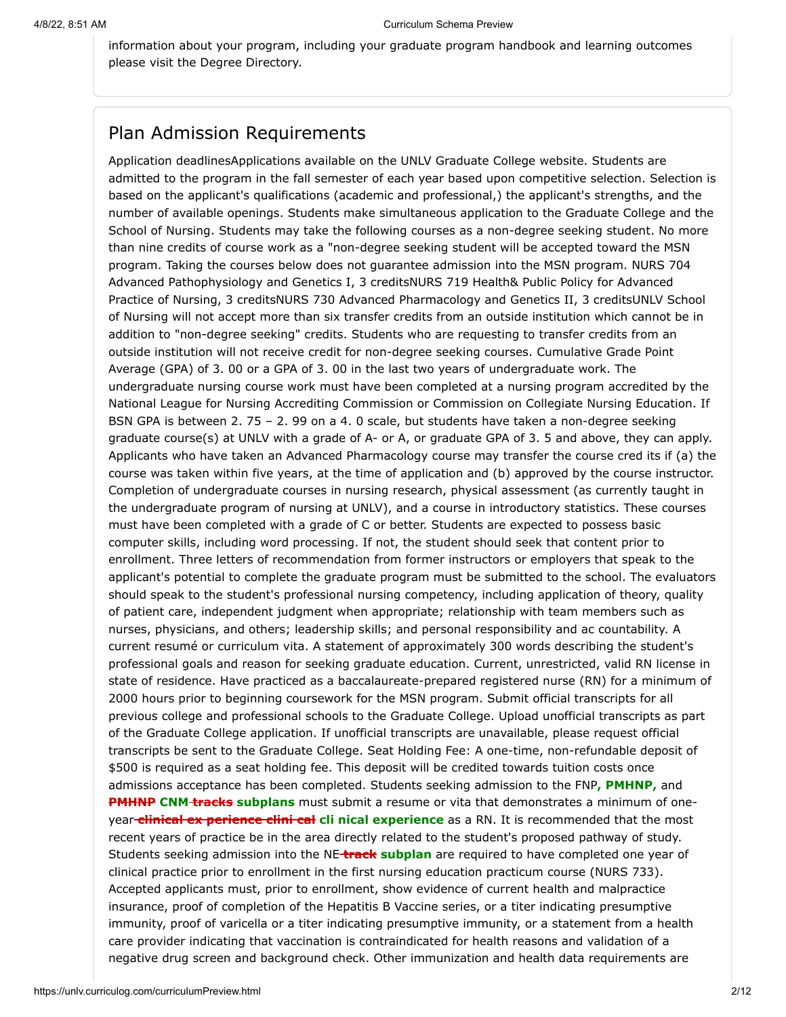information about your program, including your graduate program handbook and learning outcomes please visit the Degree Directory.

#### Plan Admission Requirements

Application deadlinesApplications available on the UNLV Graduate College website. Students are admitted to the program in the fall semester of each year based upon competitive selection. Selection is based on the applicant's qualifications (academic and professional,) the applicant's strengths, and the number of available openings. Students make simultaneous application to the Graduate College and the School of Nursing. Students may take the following courses as a non-degree seeking student. No more than nine credits of course work as a "non-degree seeking student will be accepted toward the MSN program. Taking the courses below does not guarantee admission into the MSN program. NURS 704 Advanced Pathophysiology and Genetics I, 3 creditsNURS 719 Health& Public Policy for Advanced Practice of Nursing, 3 creditsNURS 730 Advanced Pharmacology and Genetics II, 3 creditsUNLV School of Nursing will not accept more than six transfer credits from an outside institution which cannot be in addition to "non-degree seeking" credits. Students who are requesting to transfer credits from an outside institution will not receive credit for non-degree seeking courses. Cumulative Grade Point Average (GPA) of 3. 00 or a GPA of 3. 00 in the last two years of undergraduate work. The undergraduate nursing course work must have been completed at a nursing program accredited by the National League for Nursing Accrediting Commission or Commission on Collegiate Nursing Education. If BSN GPA is between 2. 75 – 2. 99 on a 4. 0 scale, but students have taken a non-degree seeking graduate course(s) at UNLV with a grade of A- or A, or graduate GPA of 3. 5 and above, they can apply. Applicants who have taken an Advanced Pharmacology course may transfer the course cred its if (a) the course was taken within five years, at the time of application and (b) approved by the course instructor. Completion of undergraduate courses in nursing research, physical assessment (as currently taught in the undergraduate program of nursing at UNLV), and a course in introductory statistics. These courses must have been completed with a grade of C or better. Students are expected to possess basic computer skills, including word processing. If not, the student should seek that content prior to enrollment. Three letters of recommendation from former instructors or employers that speak to the applicant's potential to complete the graduate program must be submitted to the school. The evaluators should speak to the student's professional nursing competency, including application of theory, quality of patient care, independent judgment when appropriate; relationship with team members such as nurses, physicians, and others; leadership skills; and personal responsibility and ac countability. A current resumé or curriculum vita. A statement of approximately 300 words describing the student's professional goals and reason for seeking graduate education. Current, unrestricted, valid RN license in state of residence. Have practiced as a baccalaureate-prepared registered nurse (RN) for a minimum of 2000 hours prior to beginning coursework for the MSN program. Submit official transcripts for all previous college and professional schools to the Graduate College. Upload unofficial transcripts as part of the Graduate College application. If unofficial transcripts are unavailable, please request official transcripts be sent to the Graduate College. Seat Holding Fee: A one-time, non-refundable deposit of \$500 is required as a seat holding fee. This deposit will be credited towards tuition costs once admissions acceptance has been completed. Students seeking admission to the FNP**, PMHNP,** and **PMHNP CNM tracks subplans** must submit a resume or vita that demonstrates a minimum of oneyear **clinical ex perience clini cal cli nical experience** as a RN. It is recommended that the most recent years of practice be in the area directly related to the student's proposed pathway of study. Students seeking admission into the NE **track subplan** are required to have completed one year of clinical practice prior to enrollment in the first nursing education practicum course (NURS 733). Accepted applicants must, prior to enrollment, show evidence of current health and malpractice insurance, proof of completion of the Hepatitis B Vaccine series, or a titer indicating presumptive immunity, proof of varicella or a titer indicating presumptive immunity, or a statement from a health care provider indicating that vaccination is contraindicated for health reasons and validation of a negative drug screen and background check. Other immunization and health data requirements are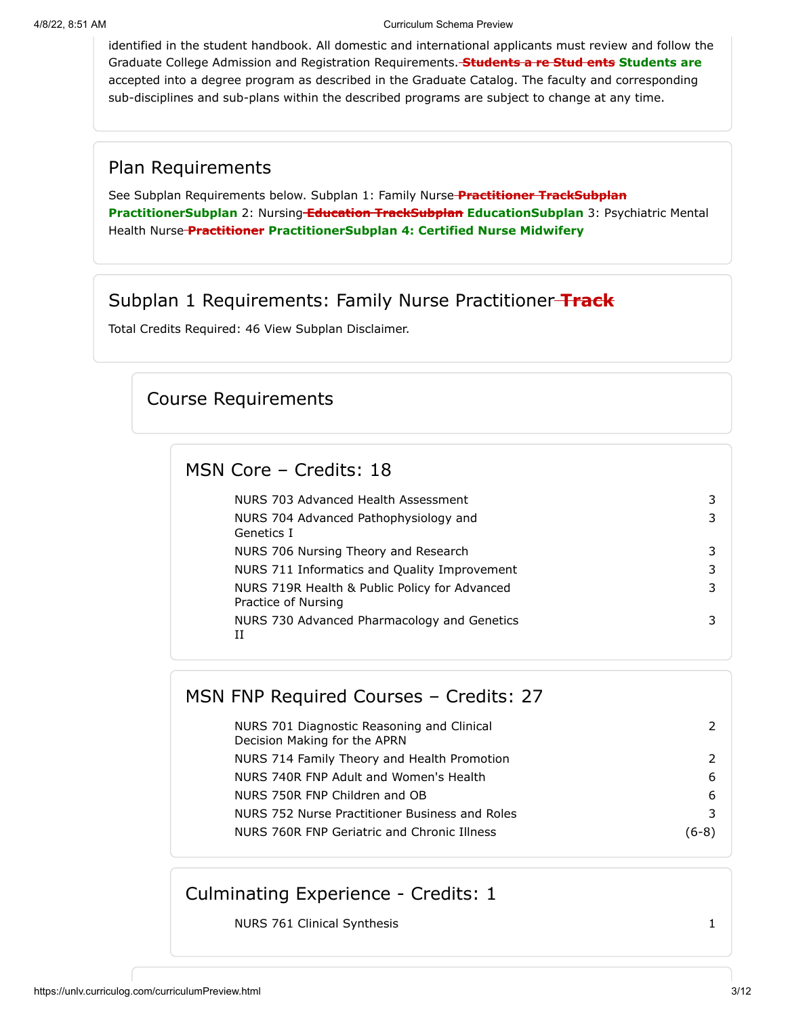#### 4/8/22, 8:51 AM Curriculum Schema Preview

identified in the student handbook. All domestic and international applicants must review and follow the Graduate College Admission and Registration Requirements. **Students a re Stud ents Students are** accepted into a degree program as described in the Graduate Catalog. The faculty and corresponding sub-disciplines and sub-plans within the described programs are subject to change at any time.

#### Plan Requirements

See Subplan Requirements below. Subplan 1: Family Nurse **Practitioner TrackSubplan PractitionerSubplan** 2: Nursing **Education TrackSubplan EducationSubplan** 3: Psychiatric Mental Health Nurse **Practitioner PractitionerSubplan 4: Certified Nurse Midwifery**

#### Subplan 1 Requirements: Family Nurse Practitioner **Track**

Total Credits Required: 46 View Subplan Disclaimer.

### Course Requirements

### MSN Core – Credits: 18

| NURS 703 Advanced Health Assessment                                  |  |
|----------------------------------------------------------------------|--|
| NURS 704 Advanced Pathophysiology and<br>Genetics I                  |  |
| NURS 706 Nursing Theory and Research                                 |  |
| NURS 711 Informatics and Quality Improvement                         |  |
| NURS 719R Health & Public Policy for Advanced<br>Practice of Nursing |  |
| NURS 730 Advanced Pharmacology and Genetics<br>Π                     |  |

## MSN FNP Required Courses – Credits: 27

| NURS 701 Diagnostic Reasoning and Clinical<br>Decision Making for the APRN |       |
|----------------------------------------------------------------------------|-------|
| NURS 714 Family Theory and Health Promotion                                |       |
| NURS 740R FNP Adult and Women's Health                                     | 6     |
| NURS 750R FNP Children and OB                                              | 6     |
| NURS 752 Nurse Practitioner Business and Roles                             |       |
| NURS 760R FNP Geriatric and Chronic Illness                                | (6-8) |

### Culminating Experience - Credits: 1

NURS 761 Clinical Synthesis 1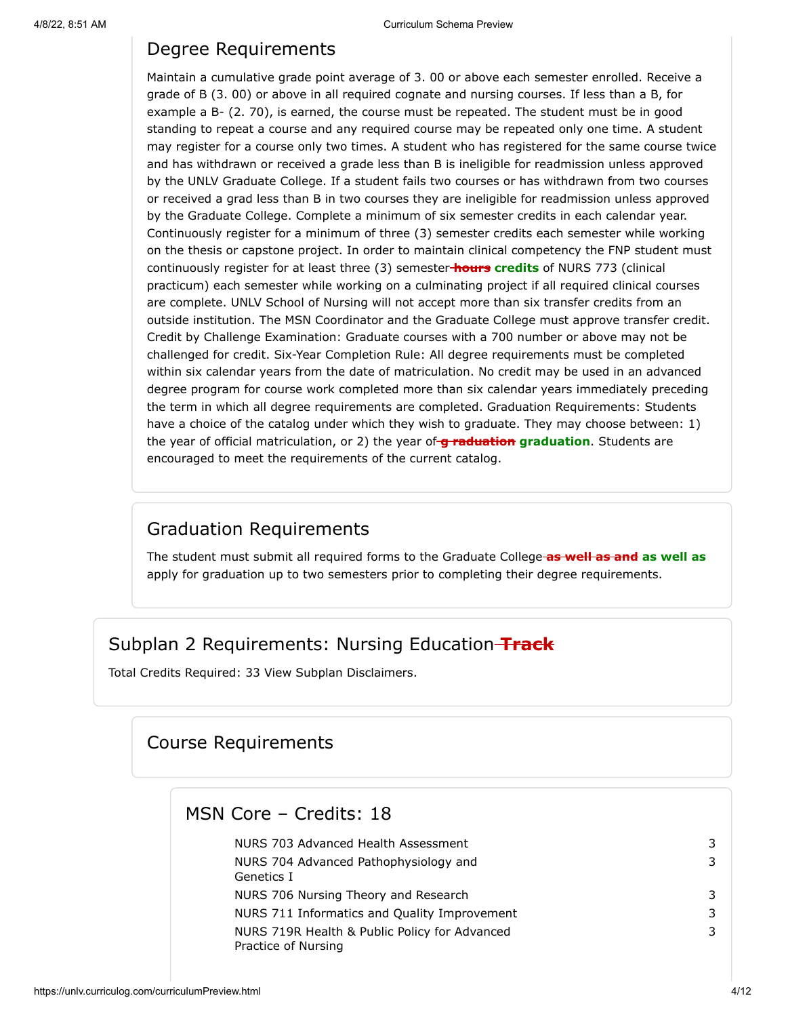#### Degree Requirements

Maintain a cumulative grade point average of 3. 00 or above each semester enrolled. Receive a grade of B (3. 00) or above in all required cognate and nursing courses. If less than a B, for example a B- (2. 70), is earned, the course must be repeated. The student must be in good standing to repeat a course and any required course may be repeated only one time. A student may register for a course only two times. A student who has registered for the same course twice and has withdrawn or received a grade less than B is ineligible for readmission unless approved by the UNLV Graduate College. If a student fails two courses or has withdrawn from two courses or received a grad less than B in two courses they are ineligible for readmission unless approved by the Graduate College. Complete a minimum of six semester credits in each calendar year. Continuously register for a minimum of three (3) semester credits each semester while working on the thesis or capstone project. In order to maintain clinical competency the FNP student must continuously register for at least three (3) semester **hours credits** of NURS 773 (clinical practicum) each semester while working on a culminating project if all required clinical courses are complete. UNLV School of Nursing will not accept more than six transfer credits from an outside institution. The MSN Coordinator and the Graduate College must approve transfer credit. Credit by Challenge Examination: Graduate courses with a 700 number or above may not be challenged for credit. Six-Year Completion Rule: All degree requirements must be completed within six calendar years from the date of matriculation. No credit may be used in an advanced degree program for course work completed more than six calendar years immediately preceding the term in which all degree requirements are completed. Graduation Requirements: Students have a choice of the catalog under which they wish to graduate. They may choose between: 1) the year of official matriculation, or 2) the year of **g raduation graduation**. Students are encouraged to meet the requirements of the current catalog.

### Graduation Requirements

The student must submit all required forms to the Graduate College **as well as and as well as** apply for graduation up to two semesters prior to completing their degree requirements.

### Subplan 2 Requirements: Nursing Education **Track**

Total Credits Required: 33 View Subplan Disclaimers.

### Course Requirements

#### MSN Core – Credits: 18

| NURS 703 Advanced Health Assessment                                  | 3 |
|----------------------------------------------------------------------|---|
| NURS 704 Advanced Pathophysiology and                                | 3 |
| Genetics I                                                           |   |
| NURS 706 Nursing Theory and Research                                 | 3 |
| NURS 711 Informatics and Quality Improvement                         | 3 |
| NURS 719R Health & Public Policy for Advanced<br>Practice of Nursing | 3 |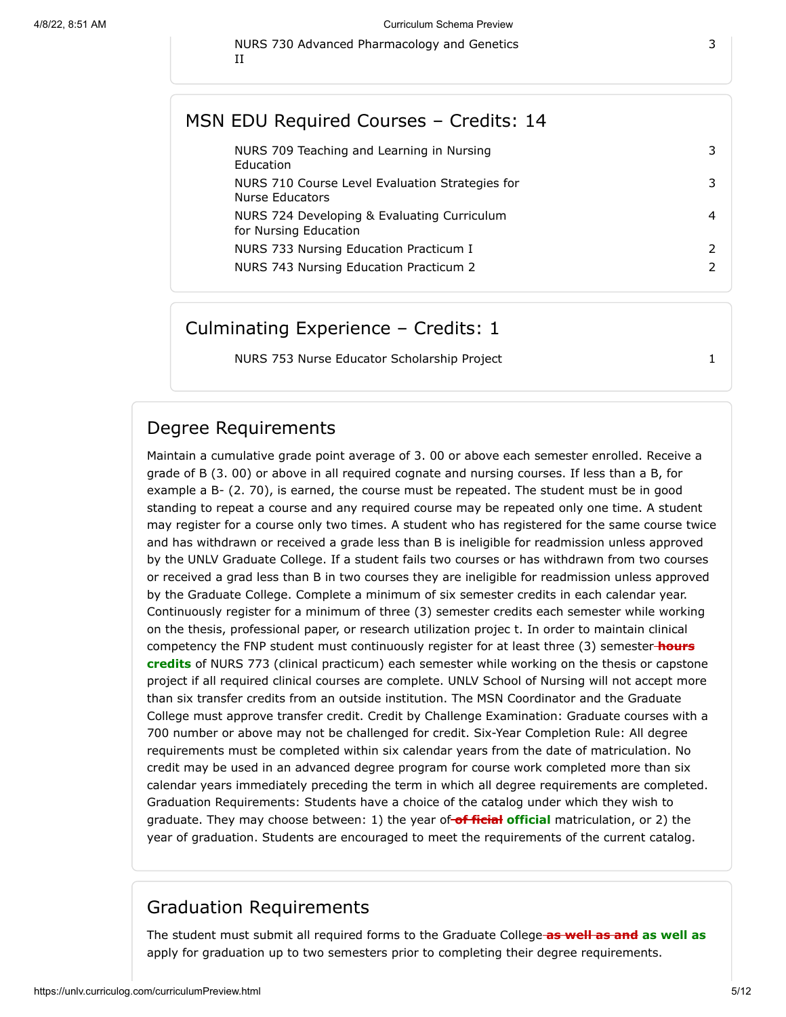NURS 730 Advanced Pharmacology and Genetics

|  |  | MSN EDU Required Courses - Credits: 14 |  |  |
|--|--|----------------------------------------|--|--|
|--|--|----------------------------------------|--|--|

| NURS 709 Teaching and Learning in Nursing<br>Education               | 3             |
|----------------------------------------------------------------------|---------------|
| NURS 710 Course Level Evaluation Strategies for<br>Nurse Educators   | 3             |
| NURS 724 Developing & Evaluating Curriculum<br>for Nursing Education | 4             |
| NURS 733 Nursing Education Practicum I                               | $\mathcal{L}$ |
| NURS 743 Nursing Education Practicum 2                               | $\mathcal{P}$ |
|                                                                      |               |

#### Culminating Experience – Credits: 1

NURS 753 Nurse Educator Scholarship Project 1

Degree Requirements

II

Maintain a cumulative grade point average of 3. 00 or above each semester enrolled. Receive a grade of B (3. 00) or above in all required cognate and nursing courses. If less than a B, for example a B- (2. 70), is earned, the course must be repeated. The student must be in good standing to repeat a course and any required course may be repeated only one time. A student may register for a course only two times. A student who has registered for the same course twice and has withdrawn or received a grade less than B is ineligible for readmission unless approved by the UNLV Graduate College. If a student fails two courses or has withdrawn from two courses or received a grad less than B in two courses they are ineligible for readmission unless approved by the Graduate College. Complete a minimum of six semester credits in each calendar year. Continuously register for a minimum of three (3) semester credits each semester while working on the thesis, professional paper, or research utilization projec t. In order to maintain clinical competency the FNP student must continuously register for at least three (3) semester **hours credits** of NURS 773 (clinical practicum) each semester while working on the thesis or capstone project if all required clinical courses are complete. UNLV School of Nursing will not accept more than six transfer credits from an outside institution. The MSN Coordinator and the Graduate College must approve transfer credit. Credit by Challenge Examination: Graduate courses with a 700 number or above may not be challenged for credit. Six-Year Completion Rule: All degree requirements must be completed within six calendar years from the date of matriculation. No credit may be used in an advanced degree program for course work completed more than six calendar years immediately preceding the term in which all degree requirements are completed. Graduation Requirements: Students have a choice of the catalog under which they wish to graduate. They may choose between: 1) the year of **of ficial official** matriculation, or 2) the year of graduation. Students are encouraged to meet the requirements of the current catalog.

#### Graduation Requirements

The student must submit all required forms to the Graduate College **as well as and as well as** apply for graduation up to two semesters prior to completing their degree requirements.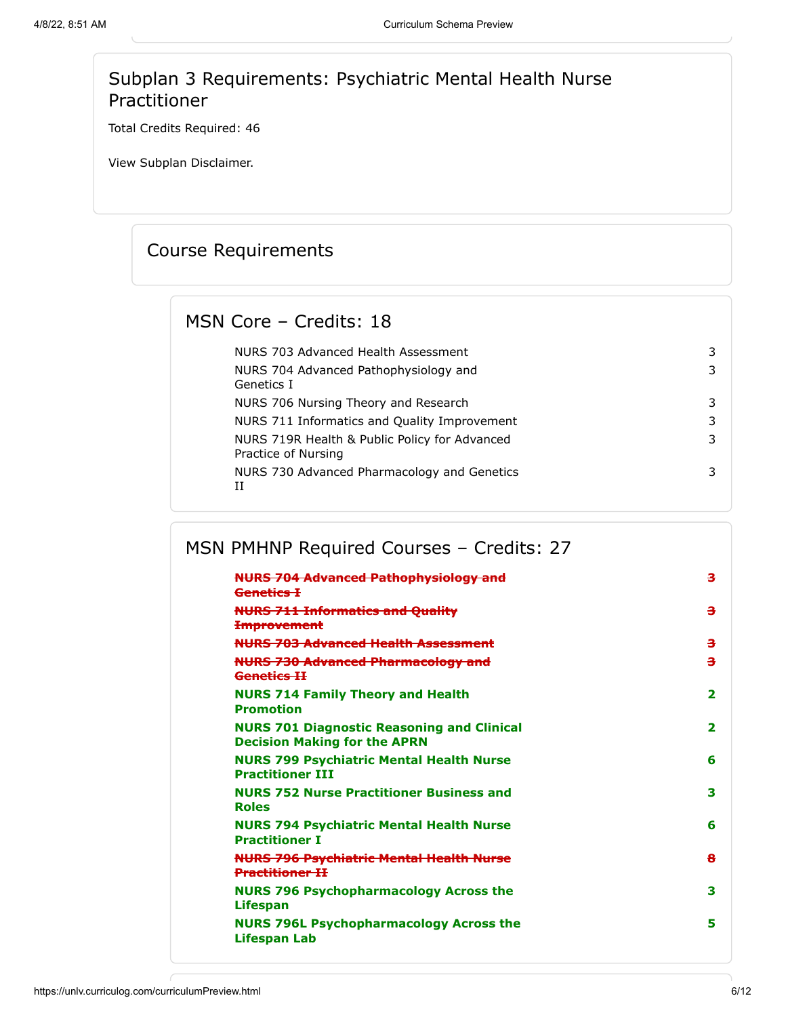### Subplan 3 Requirements: Psychiatric Mental Health Nurse Practitioner

Total Credits Required: 46

View Subplan Disclaimer.

# Course Requirements

### MSN Core – Credits: 18

| NURS 703 Advanced Health Assessment                                  | 3 |
|----------------------------------------------------------------------|---|
| NURS 704 Advanced Pathophysiology and<br>Genetics I                  | 3 |
| NURS 706 Nursing Theory and Research                                 | 3 |
| NURS 711 Informatics and Quality Improvement                         | 3 |
| NURS 719R Health & Public Policy for Advanced<br>Practice of Nursing | 3 |
| NURS 730 Advanced Pharmacology and Genetics<br>H                     | 3 |

# MSN PMHNP Required Courses – Credits: 27

| <b>NURS 704 Advanced Pathophysiology and</b><br>Genetics I                               | з                       |
|------------------------------------------------------------------------------------------|-------------------------|
| <b>NURS 711 Informatics and Quality</b><br><del>Improvement</del>                        | з                       |
| <b>NURS 703 Advanced Health Assessment</b>                                               | з                       |
| <b>NURS 730 Advanced Pharmacology and</b><br>Genetics <b>H</b>                           | з                       |
| <b>NURS 714 Family Theory and Health</b><br><b>Promotion</b>                             | $\overline{\mathbf{2}}$ |
| <b>NURS 701 Diagnostic Reasoning and Clinical</b><br><b>Decision Making for the APRN</b> | 2                       |
| <b>NURS 799 Psychiatric Mental Health Nurse</b><br><b>Practitioner TTT</b>               | 6                       |
| <b>NURS 752 Nurse Practitioner Business and</b><br><b>Roles</b>                          | 3                       |
| <b>NURS 794 Psychiatric Mental Health Nurse</b><br><b>Practitioner I</b>                 | 6                       |
| <b>NURS 796 Psychiatric Mental Health Nurse</b><br><b>Practitioner II</b>                | 8                       |
| <b>NURS 796 Psychopharmacology Across the</b><br><b>Lifespan</b>                         | 3                       |
| <b>NURS 796L Psychopharmacology Across the</b><br>Lifespan Lab                           | 5                       |
|                                                                                          |                         |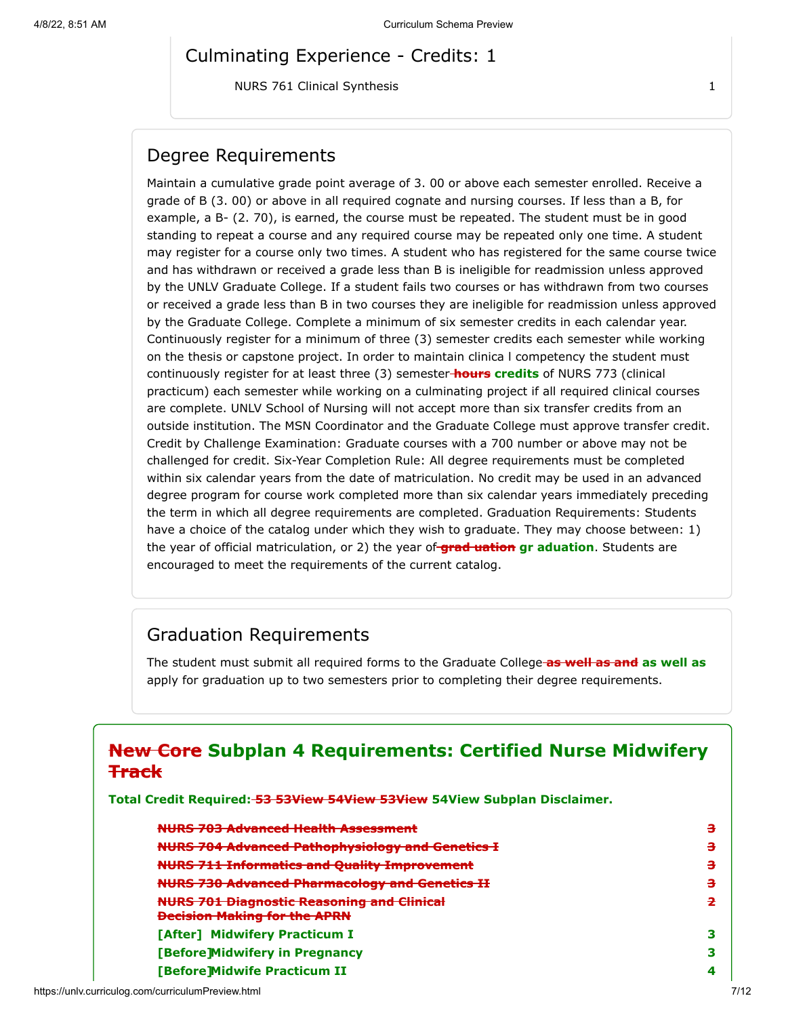#### Culminating Experience - Credits: 1

NURS 761 Clinical Synthesis 1

#### Degree Requirements

Maintain a cumulative grade point average of 3. 00 or above each semester enrolled. Receive a grade of B (3. 00) or above in all required cognate and nursing courses. If less than a B, for example, a B- (2. 70), is earned, the course must be repeated. The student must be in good standing to repeat a course and any required course may be repeated only one time. A student may register for a course only two times. A student who has registered for the same course twice and has withdrawn or received a grade less than B is ineligible for readmission unless approved by the UNLV Graduate College. If a student fails two courses or has withdrawn from two courses or received a grade less than B in two courses they are ineligible for readmission unless approved by the Graduate College. Complete a minimum of six semester credits in each calendar year. Continuously register for a minimum of three (3) semester credits each semester while working on the thesis or capstone project. In order to maintain clinica l competency the student must continuously register for at least three (3) semester **hours credits** of NURS 773 (clinical practicum) each semester while working on a culminating project if all required clinical courses are complete. UNLV School of Nursing will not accept more than six transfer credits from an outside institution. The MSN Coordinator and the Graduate College must approve transfer credit. Credit by Challenge Examination: Graduate courses with a 700 number or above may not be challenged for credit. Six-Year Completion Rule: All degree requirements must be completed within six calendar years from the date of matriculation. No credit may be used in an advanced degree program for course work completed more than six calendar years immediately preceding the term in which all degree requirements are completed. Graduation Requirements: Students have a choice of the catalog under which they wish to graduate. They may choose between: 1) the year of official matriculation, or 2) the year of **grad uation gr aduation**. Students are encouraged to meet the requirements of the current catalog.

#### Graduation Requirements

The student must submit all required forms to the Graduate College **as well as and as well as** apply for graduation up to two semesters prior to completing their degree requirements.

### **New Core Subplan 4 Requirements: Certified Nurse Midwifery Track**

**Total Credit Required: 53 53View 54View 53View 54View Subplan Disclaimer.**

| <b>NURS 703 Advanced Health Assessment</b>                                               | з |
|------------------------------------------------------------------------------------------|---|
| <b>NURS 704 Advanced Pathophysiology and Genetics I</b>                                  | з |
| <b>NURS 711 Informatics and Quality Improvement</b>                                      | з |
| <b>NURS 730 Advanced Pharmacology and Genetics II</b>                                    | з |
| <b>NURS 701 Diagnostic Reasoning and Clinical</b><br><b>Decision Making for the APRN</b> | 2 |
| [After] Midwifery Practicum I                                                            |   |
| [Before]Midwifery in Pregnancy                                                           |   |
| <b>[Before]Midwife Practicum II</b>                                                      | 4 |
|                                                                                          |   |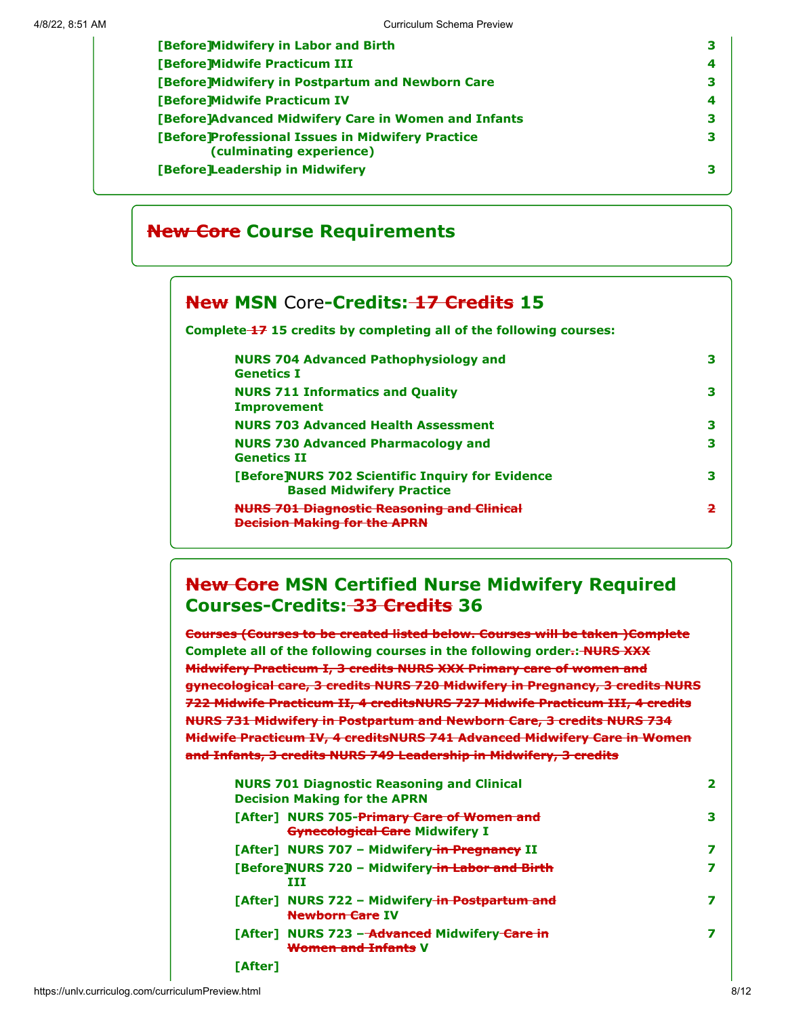| 4 |
|---|
| з |
| 4 |
| з |
| 3 |
| З |
|   |

### **New Core Course Requirements**

### **New MSN Core-Credits: 17 Credits 15**

**Complete 17 15 credits by completing all of the following courses:**

| <b>NURS 704 Advanced Pathophysiology and</b><br><b>Genetics I</b>                   | з |
|-------------------------------------------------------------------------------------|---|
| <b>NURS 711 Informatics and Quality</b><br><b>Improvement</b>                       | з |
| <b>NURS 703 Advanced Health Assessment</b>                                          | з |
| <b>NURS 730 Advanced Pharmacology and</b><br><b>Genetics II</b>                     | з |
| [Before]NURS 702 Scientific Inquiry for Evidence<br><b>Based Midwifery Practice</b> | з |
| <b>JRS 701 Diagnostic Reasoning and Clinical</b><br>cision Making for the APRN      | 2 |

### **New Core MSN Certified Nurse Midwifery Required Courses-Credits: 33 Credits 36**

**Courses (Courses to be created listed below. Courses will be taken )Complete Complete all of the following courses in the following order.: NURS XXX Midwifery Practicum I, 3 credits NURS XXX Primary care of women and gynecological care, 3 credits NURS 720 Midwifery in Pregnancy, 3 credits NURS 722 Midwife Practicum II, 4 creditsNURS 727 Midwife Practicum III, 4 credits NURS 731 Midwifery in Postpartum and Newborn Care, 3 credits NURS 734 Midwife Practicum IV, 4 creditsNURS 741 Advanced Midwifery Care in Women and Infants, 3 credits NURS 749 Leadership in Midwifery, 3 credits**

| <b>NURS 701 Diagnostic Reasoning and Clinical</b><br><b>Decision Making for the APRN</b> |   |
|------------------------------------------------------------------------------------------|---|
| [After] NURS 705-Primary Care of Women and<br><b>Gynecological Care Midwifery I</b>      | з |
| [After] NURS 707 - Midwifery in Pregnancy II                                             |   |
| [Before]NURS 720 - Midwifery-in Labor and Birth<br>ттт                                   |   |
| [After] NURS 722 - Midwifery in Postpartum and<br><b>Newborn Care IV</b>                 |   |
| [After] NURS 723 - Advanced Midwifery Care in<br><b>Women and Infants V</b>              |   |
| [After]                                                                                  |   |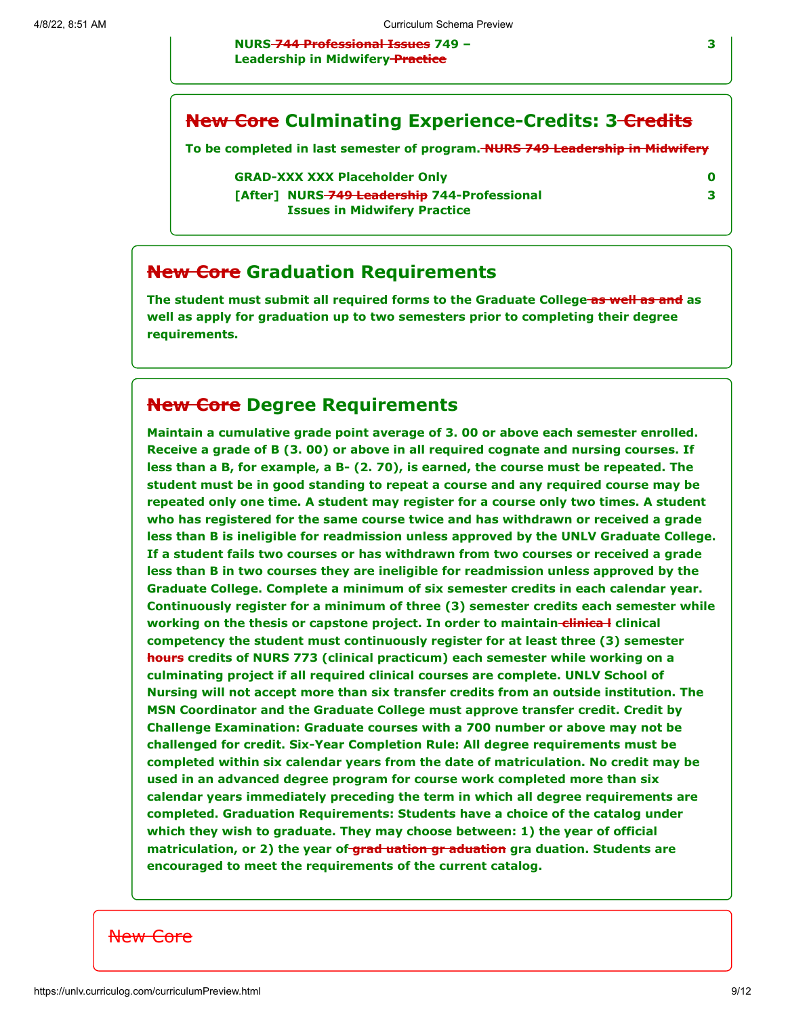**NURS 744 Professional Issues 749 – Leadership in Midwifery Practice**

#### **New Core Culminating Experience-Credits: 3-Credits**

**To be completed in last semester of program. NURS 749 Leadership in Midwifery**

**GRAD-XXX XXX Placeholder Only 0**

**[After] NURS 749 Leadership 744-Professional Issues in Midwifery Practice**

### **New Core Graduation Requirements**

**The student must submit all required forms to the Graduate College as well as and as well as apply for graduation up to two semesters prior to completing their degree requirements.**

#### **New Core Degree Requirements**

**Maintain a cumulative grade point average of 3. 00 or above each semester enrolled. Receive a grade of B (3. 00) or above in all required cognate and nursing courses. If less than a B, for example, a B- (2. 70), is earned, the course must be repeated. The student must be in good standing to repeat a course and any required course may be repeated only one time. A student may register for a course only two times. A student who has registered for the same course twice and has withdrawn or received a grade less than B is ineligible for readmission unless approved by the UNLV Graduate College. If a student fails two courses or has withdrawn from two courses or received a grade less than B in two courses they are ineligible for readmission unless approved by the Graduate College. Complete a minimum of six semester credits in each calendar year. Continuously register for a minimum of three (3) semester credits each semester while working on the thesis or capstone project. In order to maintain-clinical clinical competency the student must continuously register for at least three (3) semester hours credits of NURS 773 (clinical practicum) each semester while working on a culminating project if all required clinical courses are complete. UNLV School of Nursing will not accept more than six transfer credits from an outside institution. The MSN Coordinator and the Graduate College must approve transfer credit. Credit by Challenge Examination: Graduate courses with a 700 number or above may not be challenged for credit. Six-Year Completion Rule: All degree requirements must be completed within six calendar years from the date of matriculation. No credit may be used in an advanced degree program for course work completed more than six calendar years immediately preceding the term in which all degree requirements are completed. Graduation Requirements: Students have a choice of the catalog under which they wish to graduate. They may choose between: 1) the year of official matriculation, or 2) the year of grad uation gr aduation gra duation. Students are encouraged to meet the requirements of the current catalog.**

#### New Core

**3**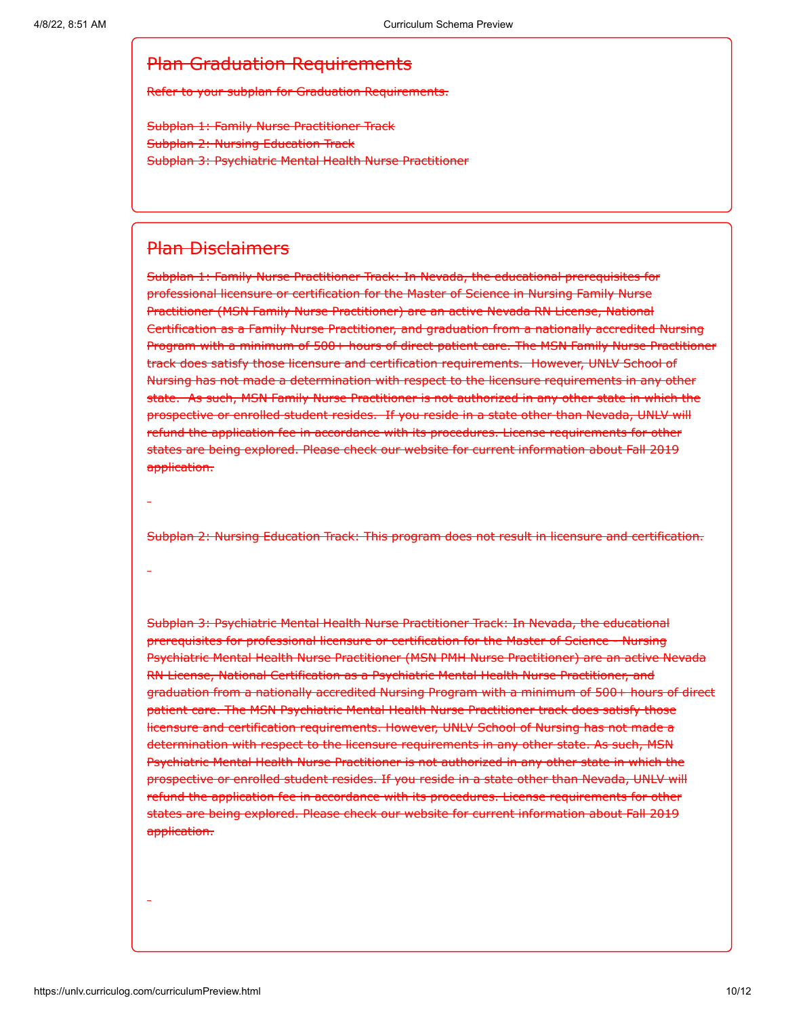#### Plan Graduation Requirements

Refer to your subplan for Graduation Requirements.

Subplan 1: Family Nurse Practitioner Track Subplan 2: Nursing Education Track Subplan 3: Psychiatric Mental Health Nurse Practitioner

#### Plan Disclaimers

Subplan 1: Family Nurse Practitioner Track: In Nevada, the educational prerequisites for professional licensure or certification for the Master of Science in Nursing Family Nurse Practitioner (MSN Family Nurse Practitioner) are an active Nevada RN License, National Certification as a Family Nurse Practitioner, and graduation from a nationally accredited Nursing Program with a minimum of 500+ hours of direct patient care. The MSN Family Nurse Practitioner track does satisfy those licensure and certification requirements. However, UNLV School of Nursing has not made a determination with respect to the licensure requirements in any other state. As such, MSN Family Nurse Practitioner is not authorized in any other state in which the prospective or enrolled student resides. If you reside in a state other than Nevada, UNLV will refund the application fee in accordance with its procedures. License requirements for other states are being explored. Please check our website for current information about Fall 2019 application.

Subplan 2: Nursing Education Track: This program does not result in licensure and certification.

Subplan 3: Psychiatric Mental Health Nurse Practitioner Track: In Nevada, the educational prerequisites for professional licensure or certification for the Master of Science - Nursing Psychiatric Mental Health Nurse Practitioner (MSN PMH Nurse Practitioner) are an active Nevada RN License, National Certification as a Psychiatric Mental Health Nurse Practitioner, and graduation from a nationally accredited Nursing Program with a minimum of 500+ hours of direct patient care. The MSN Psychiatric Mental Health Nurse Practitioner track does satisfy those licensure and certification requirements. However, UNLV School of Nursing has not made a determination with respect to the licensure requirements in any other state. As such, MSN Psychiatric Mental Health Nurse Practitioner is not authorized in any other state in which the prospective or enrolled student resides. If you reside in a state other than Nevada, UNLV will refund the application fee in accordance with its procedures. License requirements for other states are being explored. Please check our website for current information about Fall 2019 application.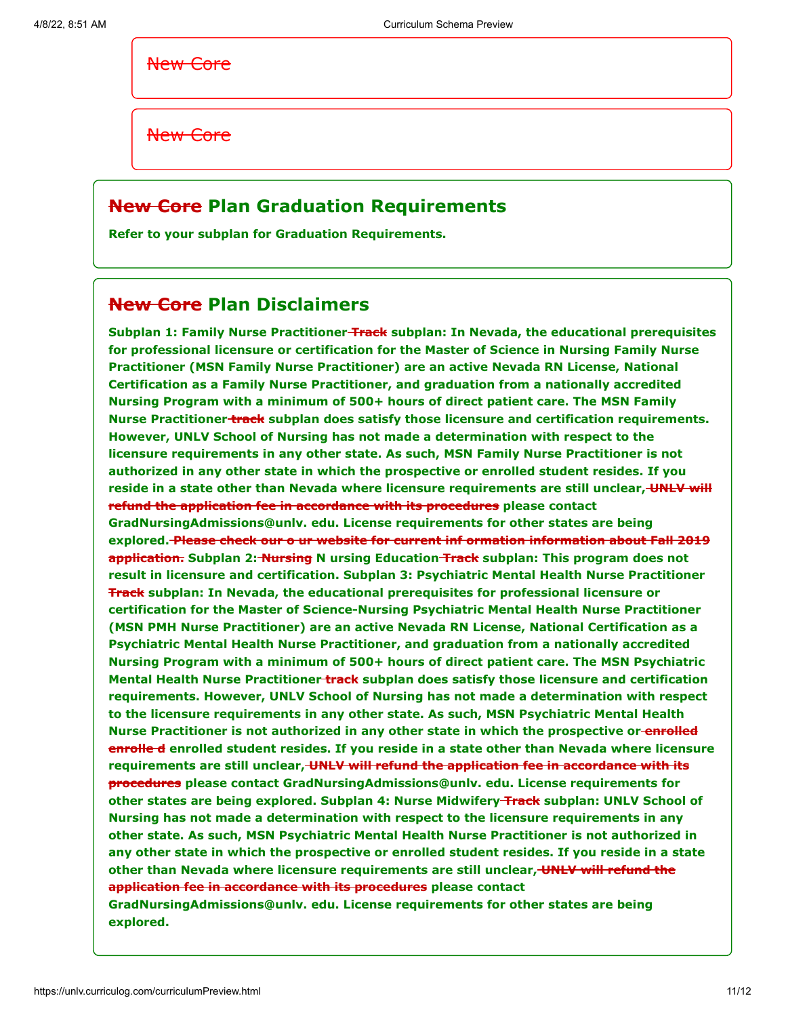New Core

New Core

### **New Core Plan Graduation Requirements**

**Refer to your subplan for Graduation Requirements.**

### **New Core Plan Disclaimers**

**Subplan 1: Family Nurse Practitioner Track subplan: In Nevada, the educational prerequisites for professional licensure or certification for the Master of Science in Nursing Family Nurse Practitioner (MSN Family Nurse Practitioner) are an active Nevada RN License, National Certification as a Family Nurse Practitioner, and graduation from a nationally accredited Nursing Program with a minimum of 500+ hours of direct patient care. The MSN Family Nurse Practitioner track subplan does satisfy those licensure and certification requirements. However, UNLV School of Nursing has not made a determination with respect to the licensure requirements in any other state. As such, MSN Family Nurse Practitioner is not authorized in any other state in which the prospective or enrolled student resides. If you** reside in a state other than Nevada where licensure requirements are still unclear, UNLY will **refund the application fee in accordance with its procedures please contact GradNursingAdmissions@unlv. edu. License requirements for other states are being explored. Please check our o ur website for current inf ormation information about Fall 2019 application. Subplan 2: Nursing N ursing Education Track subplan: This program does not result in licensure and certification. Subplan 3: Psychiatric Mental Health Nurse Practitioner Track subplan: In Nevada, the educational prerequisites for professional licensure or certification for the Master of Science-Nursing Psychiatric Mental Health Nurse Practitioner (MSN PMH Nurse Practitioner) are an active Nevada RN License, National Certification as a Psychiatric Mental Health Nurse Practitioner, and graduation from a nationally accredited Nursing Program with a minimum of 500+ hours of direct patient care. The MSN Psychiatric Mental Health Nurse Practitioner track subplan does satisfy those licensure and certification requirements. However, UNLV School of Nursing has not made a determination with respect to the licensure requirements in any other state. As such, MSN Psychiatric Mental Health Nurse Practitioner is not authorized in any other state in which the prospective or enrolled enrolle d enrolled student resides. If you reside in a state other than Nevada where licensure requirements are still unclear, UNLV will refund the application fee in accordance with its procedures please contact GradNursingAdmissions@unlv. edu. License requirements for other states are being explored. Subplan 4: Nurse Midwifery Track subplan: UNLV School of Nursing has not made a determination with respect to the licensure requirements in any other state. As such, MSN Psychiatric Mental Health Nurse Practitioner is not authorized in any other state in which the prospective or enrolled student resides. If you reside in a state other than Nevada where licensure requirements are still unclear, UNLV will refund the application fee in accordance with its procedures please contact GradNursingAdmissions@unlv. edu. License requirements for other states are being explored.**